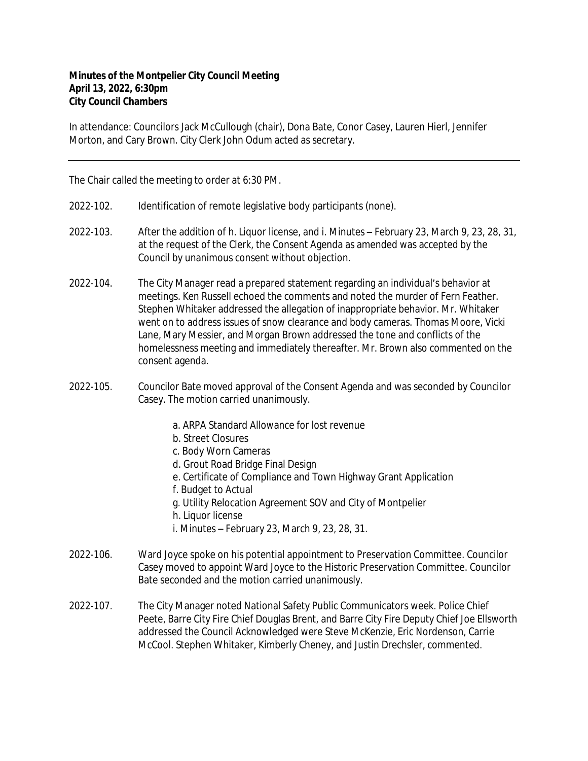## **Minutes of the Montpelier City Council Meeting April 13, 2022, 6:30pm City Council Chambers**

In attendance: Councilors Jack McCullough (chair), Dona Bate, Conor Casey, Lauren Hierl, Jennifer Morton, and Cary Brown. City Clerk John Odum acted as secretary.

The Chair called the meeting to order at 6:30 PM.

- 2022-102. Identification of remote legislative body participants (none).
- 2022-103. After the addition of h. Liquor license, and i. Minutes February 23, March 9, 23, 28, 31, at the request of the Clerk, the Consent Agenda as amended was accepted by the Council by unanimous consent without objection.
- 2022-104. The City Manager read a prepared statement regarding an individual's behavior at meetings. Ken Russell echoed the comments and noted the murder of Fern Feather. Stephen Whitaker addressed the allegation of inappropriate behavior. Mr. Whitaker went on to address issues of snow clearance and body cameras. Thomas Moore, Vicki Lane, Mary Messier, and Morgan Brown addressed the tone and conflicts of the homelessness meeting and immediately thereafter. Mr. Brown also commented on the consent agenda.
- 2022-105. Councilor Bate moved approval of the Consent Agenda and was seconded by Councilor Casey. The motion carried unanimously.
	- a. ARPA Standard Allowance for lost revenue
	- b. Street Closures
	- c. Body Worn Cameras
	- d. Grout Road Bridge Final Design
	- e. Certificate of Compliance and Town Highway Grant Application
	- f. Budget to Actual
	- g. Utility Relocation Agreement SOV and City of Montpelier
	- h. Liquor license
	- i. Minutes February 23, March 9, 23, 28, 31.
- 2022-106. Ward Joyce spoke on his potential appointment to Preservation Committee. Councilor Casey moved to appoint Ward Joyce to the Historic Preservation Committee. Councilor Bate seconded and the motion carried unanimously.
- 2022-107. The City Manager noted National Safety Public Communicators week. Police Chief Peete, Barre City Fire Chief Douglas Brent, and Barre City Fire Deputy Chief Joe Ellsworth addressed the Council Acknowledged were Steve McKenzie, Eric Nordenson, Carrie McCool. Stephen Whitaker, Kimberly Cheney, and Justin Drechsler, commented.